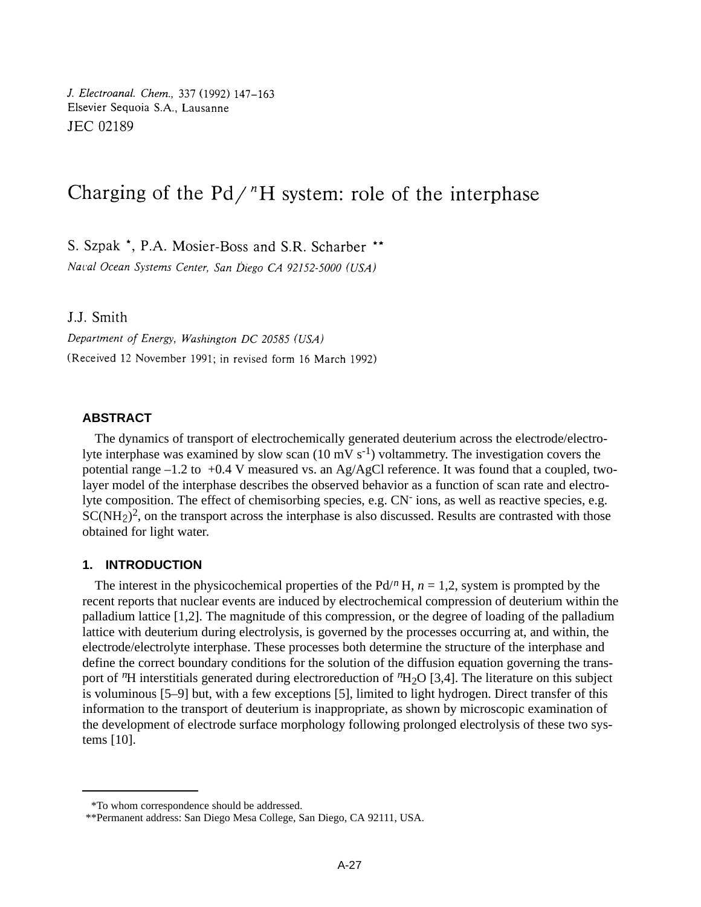J. Electroanal. Chem., 337 (1992) 147-163 Elsevier Sequoia S.A., Lausanne JEC 02189

# Charging of the  $Pd^{\prime}H$  system: role of the interphase

S. Szpak \*, P.A. Mosier-Boss and S.R. Scharber \*\*

Naval Ocean Systems Center, San Diego CA 92152-5000 (USA)

J.J. Smith

Department of Energy, Washington DC 20585 (USA) (Received 12 November 1991; in revised form 16 March 1992)

# **ABSTRACT**

The dynamics of transport of electrochemically generated deuterium across the electrode/electrolyte interphase was examined by slow scan  $(10 \text{ mV s}^{-1})$  voltammetry. The investigation covers the potential range  $-1.2$  to  $+0.4$  V measured vs. an Ag/AgCl reference. It was found that a coupled, twolayer model of the interphase describes the observed behavior as a function of scan rate and electrolyte composition. The effect of chemisorbing species, e.g. CN<sup>-</sup> ions, as well as reactive species, e.g.  $SC(NH<sub>2</sub>)<sup>2</sup>$ , on the transport across the interphase is also discussed. Results are contrasted with those obtained for light water.

## **1. INTRODUCTION**

The interest in the physicochemical properties of the  $Pd^{n}H$ ,  $n = 1,2$ , system is prompted by the recent reports that nuclear events are induced by electrochemical compression of deuterium within the palladium lattice [1,2]. The magnitude of this compression, or the degree of loading of the palladium lattice with deuterium during electrolysis, is governed by the processes occurring at, and within, the electrode/electrolyte interphase. These processes both determine the structure of the interphase and define the correct boundary conditions for the solution of the diffusion equation governing the transport of *n*H interstitials generated during electroreduction of *<sup>n</sup>*H2O [3,4]. The literature on this subject is voluminous [5–9] but, with a few exceptions [5], limited to light hydrogen. Direct transfer of this information to the transport of deuterium is inappropriate, as shown by microscopic examination of the development of electrode surface morphology following prolonged electrolysis of these two systems [10].

<sup>\*</sup>To whom correspondence should be addressed.

<sup>\*\*</sup>Permanent address: San Diego Mesa College, San Diego, CA 92111, USA.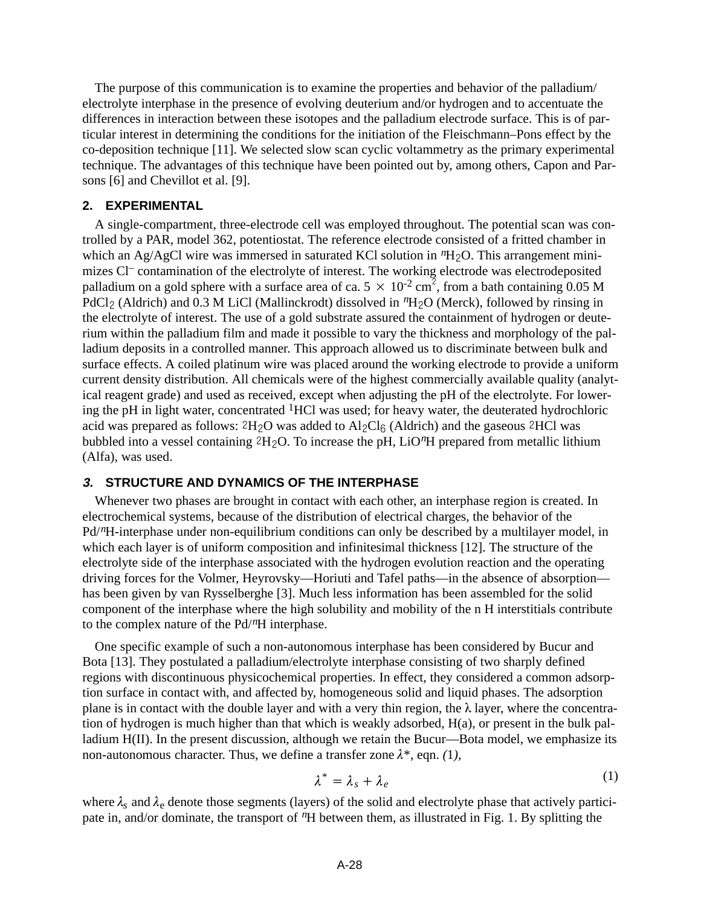The purpose of this communication is to examine the properties and behavior of the palladium/ electrolyte interphase in the presence of evolving deuterium and/or hydrogen and to accentuate the differences in interaction between these isotopes and the palladium electrode surface. This is of particular interest in determining the conditions for the initiation of the Fleischmann–Pons effect by the co-deposition technique [11]. We selected slow scan cyclic voltammetry as the primary experimental technique. The advantages of this technique have been pointed out by, among others, Capon and Parsons [6] and Chevillot et al. [9].

## **2. EXPERIMENTAL**

A single-compartment, three-electrode cell was employed throughout. The potential scan was controlled by a PAR, model 362, potentiostat. The reference electrode consisted of a fritted chamber in which an Ag/AgCl wire was immersed in saturated KCl solution in  ${}^n{\rm H}_2$ O. This arrangement minimizes Cl– contamination of the electrolyte of interest. The working electrode was electrodeposited palladium on a gold sphere with a surface area of ca.  $5 \times 10^{-2}$  cm<sup>2</sup>, from a bath containing 0.05 M PdCl<sub>2</sub> (Aldrich) and 0.3 M LiCl (Mallinckrodt) dissolved in <sup>n</sup>H<sub>2</sub>O (Merck), followed by rinsing in the electrolyte of interest. The use of a gold substrate assured the containment of hydrogen or deuterium within the palladium film and made it possible to vary the thickness and morphology of the palladium deposits in a controlled manner. This approach allowed us to discriminate between bulk and surface effects. A coiled platinum wire was placed around the working electrode to provide a uniform current density distribution. All chemicals were of the highest commercially available quality (analytical reagent grade) and used as received, except when adjusting the pH of the electrolyte. For lowering the pH in light water, concentrated  ${}^{1}$ HCl was used; for heavy water, the deuterated hydrochloric acid was prepared as follows:  $2H_2O$  was added to  $Al_2Cl_6$  (Aldrich) and the gaseous  $2HCl$  was bubbled into a vessel containing  $2H<sub>2</sub>O$ . To increase the pH, LiO<sup>n</sup>H prepared from metallic lithium (Alfa), was used.

# **3. STRUCTURE AND DYNAMICS OF THE INTERPHASE**

Whenever two phases are brought in contact with each other, an interphase region is created. In electrochemical systems, because of the distribution of electrical charges, the behavior of the Pd/*n*H-interphase under non-equilibrium conditions can only be described by a multilayer model, in which each layer is of uniform composition and infinitesimal thickness [12]. The structure of the electrolyte side of the interphase associated with the hydrogen evolution reaction and the operating driving forces for the Volmer, Heyrovsky—Horiuti and Tafel paths—in the absence of absorption has been given by van Rysselberghe [3]. Much less information has been assembled for the solid component of the interphase where the high solubility and mobility of the n H interstitials contribute to the complex nature of the Pd/*n*H interphase.

One specific example of such a non-autonomous interphase has been considered by Bucur and Bota [13]. They postulated a palladium/electrolyte interphase consisting of two sharply defined regions with discontinuous physicochemical properties. In effect, they considered a common adsorption surface in contact with, and affected by, homogeneous solid and liquid phases. The adsorption plane is in contact with the double layer and with a very thin region, the  $\lambda$  layer, where the concentration of hydrogen is much higher than that which is weakly adsorbed, H(a), or present in the bulk palladium H(II). In the present discussion, although we retain the Bucur—Bota model, we emphasize its non-autonomous character. Thus, we define a transfer zone  $\lambda^*$ , eqn. (1),

$$
\lambda^* = \lambda_s + \lambda_e \tag{1}
$$

where  $\lambda_s$  and  $\lambda_e$  denote those segments (layers) of the solid and electrolyte phase that actively participate in, and/or dominate, the transport of <sup>*n*</sup>H between them, as illustrated in Fig. 1. By splitting the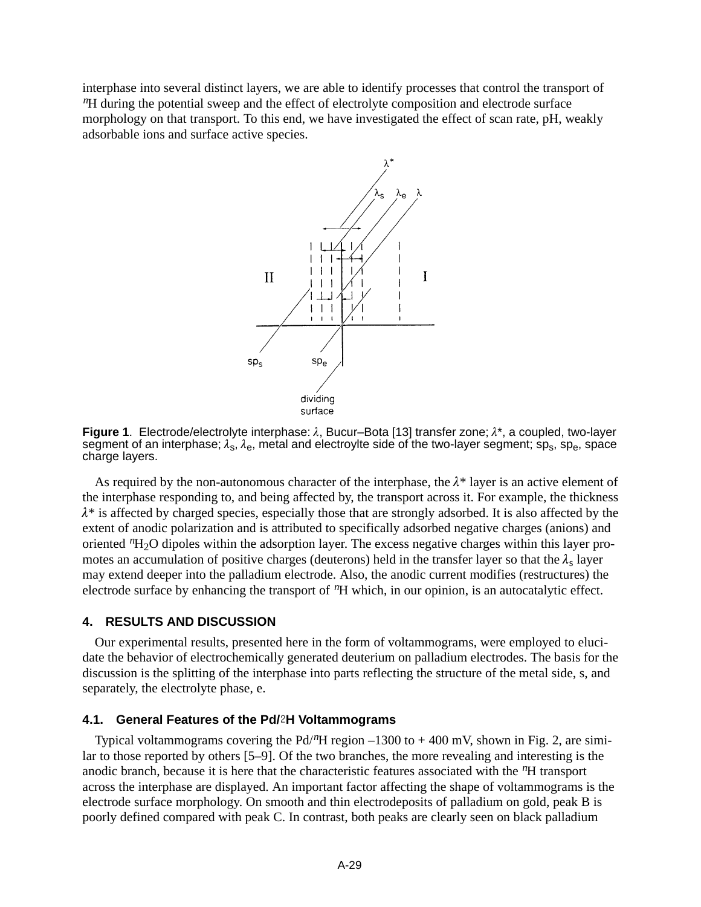interphase into several distinct layers, we are able to identify processes that control the transport of *<sup>n</sup>*H during the potential sweep and the effect of electrolyte composition and electrode surface morphology on that transport. To this end, we have investigated the effect of scan rate, pH, weakly adsorbable ions and surface active species.



**Figure 1**. Electrode/electrolyte interphase:  $\lambda$ , Bucur–Bota [13] transfer zone;  $\lambda^*$ , a coupled, two-layer segment of an interphase;  $\lambda_s$ ,  $\lambda_e$ , metal and electroylte side of the two-layer segment; sp<sub>s</sub>, sp<sub>e</sub>, space charge layers.

As required by the non-autonomous character of the interphase, the  $\lambda^*$  layer is an active element of the interphase responding to, and being affected by, the transport across it. For example, the thickness  $\lambda^*$  is affected by charged species, especially those that are strongly adsorbed. It is also affected by the extent of anodic polarization and is attributed to specifically adsorbed negative charges (anions) and oriented *<sup>n</sup>*H2O dipoles within the adsorption layer. The excess negative charges within this layer promotes an accumulation of positive charges (deuterons) held in the transfer layer so that the  $\lambda_s$  layer may extend deeper into the palladium electrode. Also, the anodic current modifies (restructures) the electrode surface by enhancing the transport of *n*H which, in our opinion, is an autocatalytic effect.

# **4. RESULTS AND DISCUSSION**

Our experimental results, presented here in the form of voltammograms, were employed to elucidate the behavior of electrochemically generated deuterium on palladium electrodes. The basis for the discussion is the splitting of the interphase into parts reflecting the structure of the metal side, s, and separately, the electrolyte phase, e.

## **4.1. General Features of the Pd/H Voltammograms**

Typical voltammograms covering the Pd/*n*H region –1300 to + 400 mV, shown in Fig. 2, are similar to those reported by others [5–9]. Of the two branches, the more revealing and interesting is the anodic branch, because it is here that the characteristic features associated with the *n*H transport across the interphase are displayed. An important factor affecting the shape of voltammograms is the electrode surface morphology. On smooth and thin electrodeposits of palladium on gold, peak B is poorly defined compared with peak C. In contrast, both peaks are clearly seen on black palladium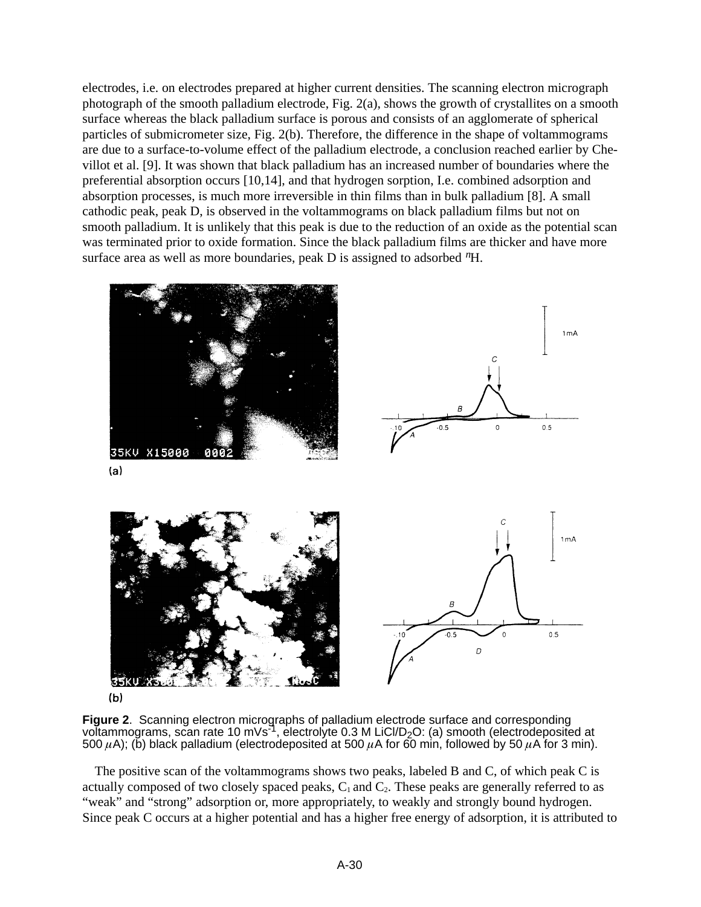electrodes, i.e. on electrodes prepared at higher current densities. The scanning electron micrograph photograph of the smooth palladium electrode, Fig. 2(a), shows the growth of crystallites on a smooth surface whereas the black palladium surface is porous and consists of an agglomerate of spherical particles of submicrometer size, Fig. 2(b). Therefore, the difference in the shape of voltammograms are due to a surface-to-volume effect of the palladium electrode, a conclusion reached earlier by Chevillot et al. [9]. It was shown that black palladium has an increased number of boundaries where the preferential absorption occurs [10,14], and that hydrogen sorption, I.e. combined adsorption and absorption processes, is much more irreversible in thin films than in bulk palladium [8]. A small cathodic peak, peak D, is observed in the voltammograms on black palladium films but not on smooth palladium. It is unlikely that this peak is due to the reduction of an oxide as the potential scan was terminated prior to oxide formation. Since the black palladium films are thicker and have more surface area as well as more boundaries, peak D is assigned to adsorbed *n*H.



 $(b)$ 

**Figure 2**. Scanning electron micrographs of palladium electrode surface and corresponding voltammograms, scan rate 10 mVs<sup>-1</sup>, electrolyte 0.3 M LiCl/D<sub>2</sub>O: (a) smooth (electrodeposited at 500  $\mu$ A); (b) black palladium (electrodeposited at 500  $\mu$ A for 60 min, followed by 50  $\mu$ A for 3 min).

The positive scan of the voltammograms shows two peaks, labeled B and C, of which peak C is actually composed of two closely spaced peaks,  $C_1$  and  $C_2$ . These peaks are generally referred to as "weak" and "strong" adsorption or, more appropriately, to weakly and strongly bound hydrogen. Since peak C occurs at a higher potential and has a higher free energy of adsorption, it is attributed to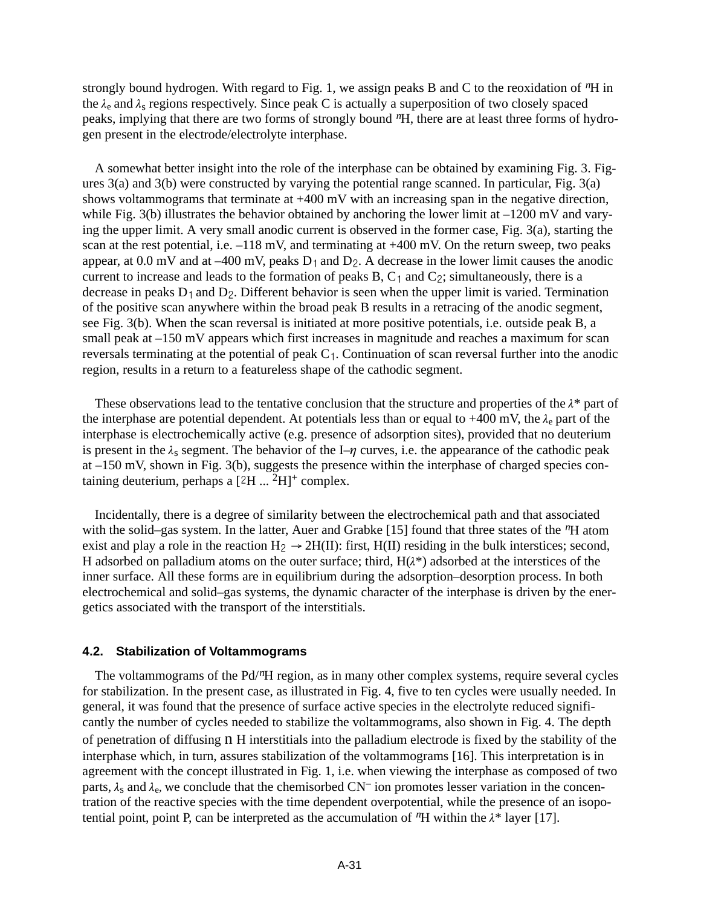strongly bound hydrogen. With regard to Fig. 1*,* we assign peaks B and C to the reoxidation of *n*H in the  $\lambda_e$  and  $\lambda_s$  regions respectively. Since peak C is actually a superposition of two closely spaced peaks, implying that there are two forms of strongly bound *n*H, there are at least three forms of hydrogen present in the electrode/electrolyte interphase.

A somewhat better insight into the role of the interphase can be obtained by examining Fig. 3. Figures 3(a) and 3(b) were constructed by varying the potential range scanned. In particular, Fig. 3(a) shows voltammograms that terminate at +400 mV with an increasing span in the negative direction, while Fig. 3(b) illustrates the behavior obtained by anchoring the lower limit at  $-1200$  mV and varying the upper limit. A very small anodic current is observed in the former case, Fig. 3(a), starting the scan at the rest potential, i.e.  $-118$  mV, and terminating at  $+400$  mV. On the return sweep, two peaks appear, at  $0.0 \text{ mV}$  and at  $-400 \text{ mV}$ , peaks  $D_1$  and  $D_2$ . A decrease in the lower limit causes the anodic current to increase and leads to the formation of peaks B,  $C_1$  and  $C_2$ ; simultaneously, there is a decrease in peaks  $D_1$  and  $D_2$ . Different behavior is seen when the upper limit is varied. Termination of the positive scan anywhere within the broad peak B results in a retracing of the anodic segment, see Fig. 3(b). When the scan reversal is initiated at more positive potentials, i.e. outside peak B, a small peak at –150 mV appears which first increases in magnitude and reaches a maximum for scan reversals terminating at the potential of peak  $C<sub>1</sub>$ . Continuation of scan reversal further into the anodic region, results in a return to a featureless shape of the cathodic segment.

These observations lead to the tentative conclusion that the structure and properties of the  $\lambda^*$  part of the interphase are potential dependent. At potentials less than or equal to +400 mV, the  $\lambda_e$  part of the interphase is electrochemically active (e.g. presence of adsorption sites), provided that no deuterium is present in the  $\lambda_s$  segment. The behavior of the I– $\eta$  curves, i.e. the appearance of the cathodic peak at –150 mV, shown in Fig. 3(b), suggests the presence within the interphase of charged species containing deuterium, perhaps a  $[2H \dots 2H]^+$  complex.

Incidentally, there is a degree of similarity between the electrochemical path and that associated with the solid–gas system. In the latter, Auer and Grabke [15] found that three states of the <sup>*n*H</sup> atom exist and play a role in the reaction  $H_2 \rightarrow 2H(H)$ : first,  $H(H)$  residing in the bulk interstices; second, H adsorbed on palladium atoms on the outer surface; third,  $H(\lambda^*)$  adsorbed at the interstices of the inner surface. All these forms are in equilibrium during the adsorption–desorption process. In both electrochemical and solid–gas systems, the dynamic character of the interphase is driven by the energetics associated with the transport of the interstitials.

# **4.2. Stabilization of Voltammograms**

The voltammograms of the Pd/*n*H region, as in many other complex systems, require several cycles for stabilization. In the present case, as illustrated in Fig. 4, five to ten cycles were usually needed. In general, it was found that the presence of surface active species in the electrolyte reduced significantly the number of cycles needed to stabilize the voltammograms, also shown in Fig. 4. The depth of penetration of diffusing n H interstitials into the palladium electrode is fixed by the stability of the interphase which, in turn, assures stabilization of the voltammograms [16]. This interpretation is in agreement with the concept illustrated in Fig. 1*,* i.e. when viewing the interphase as composed of two parts,  $\lambda_s$  and  $\lambda_e$ , we conclude that the chemisorbed CN<sup>-</sup> ion promotes lesser variation in the concentration of the reactive species with the time dependent overpotential, while the presence of an isopotential point, point P, can be interpreted as the accumulation of  ${}^nH$  within the  $\lambda^*$  layer [17].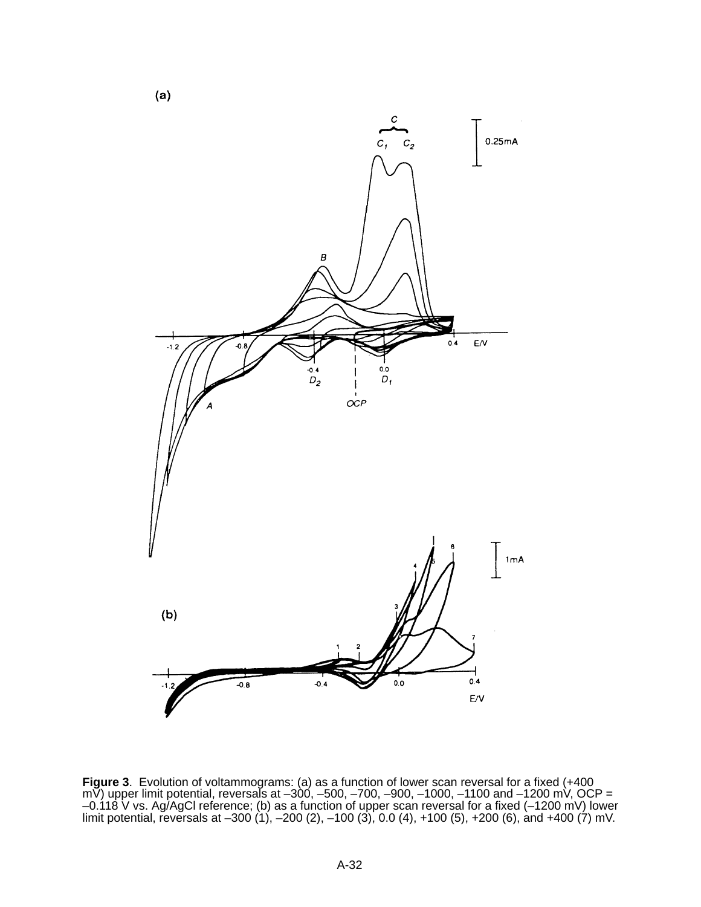

**Figure 3**. Evolution of voltammograms: (a) as a function of lower scan reversal for a fixed (+400 mV) upper limit potential, reversals at  $-300$ ,  $-500$ ,  $-700$ ,  $-900$ ,  $-1000$ ,  $-1100$  and  $-1200$  mV, OCP = –0.118 V vs. Ag/AgCl reference; (b) as a function of upper scan reversal for a fixed (–1200 mV) lower limit potential, reversals at –300 (1), –200 (2), –100 (3), 0.0 (4), +100 (5), +200 (6), and +400 (7) mV.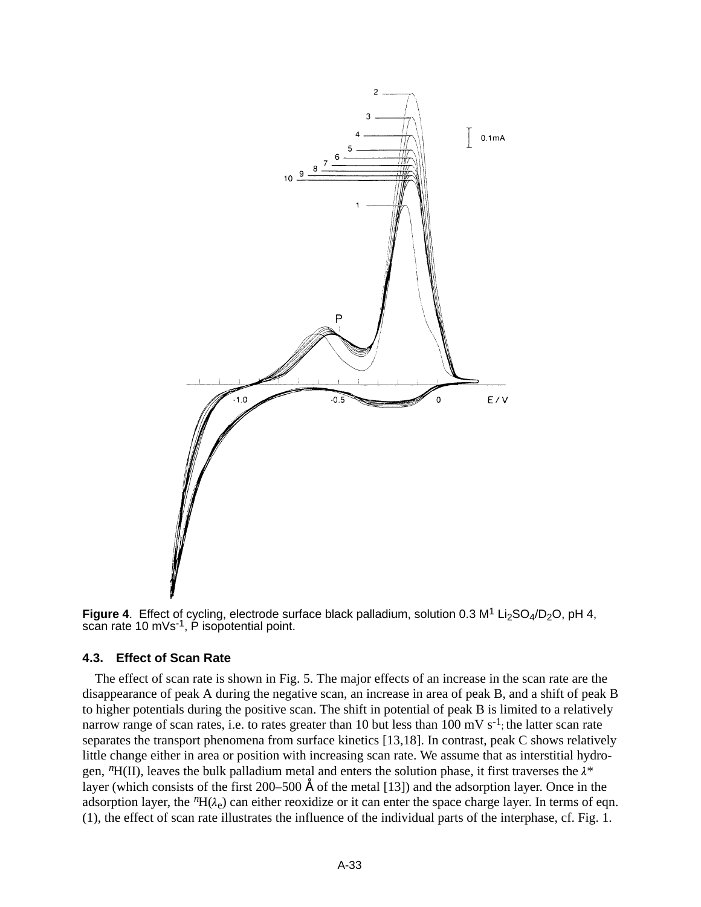

**Figure 4.** Effect of cycling, electrode surface black palladium, solution 0.3 M<sup>1</sup> Li<sub>2</sub>SO<sub>4</sub>/D<sub>2</sub>O, pH 4, scan rate 10 mVs $^{-1}$ , P isopotential point.

## **4.3. Effect of Scan Rate**

The effect of scan rate is shown in Fig. 5. The major effects of an increase in the scan rate are the disappearance of peak A during the negative scan, an increase in area of peak B, and a shift of peak B to higher potentials during the positive scan. The shift in potential of peak B is limited to a relatively narrow range of scan rates, i.e. to rates greater than 10 but less than 100 mV  $s^{-1}$ ; the latter scan rate separates the transport phenomena from surface kinetics [13,18]. In contrast, peak C shows relatively little change either in area or position with increasing scan rate. We assume that as interstitial hydrogen,  ${}^nH$ (II), leaves the bulk palladium metal and enters the solution phase, it first traverses the  $\lambda^*$ layer (which consists of the first 200–500 Å of the metal [13]) and the adsorption layer. Once in the adsorption layer, the  ${}^nH(\lambda_e)$  can either reoxidize or it can enter the space charge layer. In terms of eqn. (1), the effect of scan rate illustrates the influence of the individual parts of the interphase, cf. Fig. 1.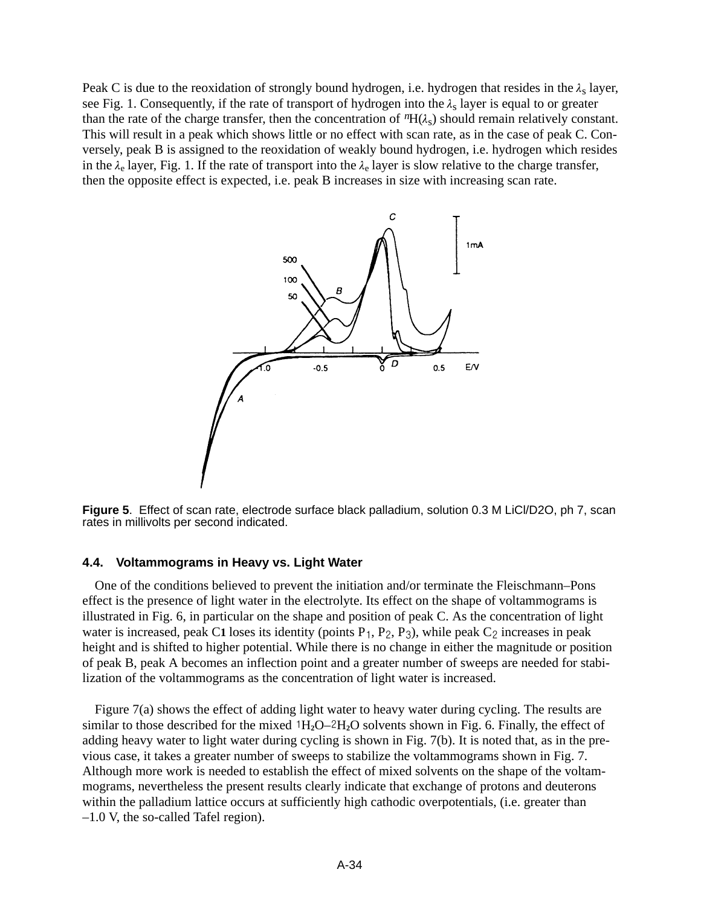Peak C is due to the reoxidation of strongly bound hydrogen, i.e. hydrogen that resides in the  $\lambda_s$  layer, see Fig. 1. Consequently, if the rate of transport of hydrogen into the  $\lambda_s$  layer is equal to or greater than the rate of the charge transfer, then the concentration of  ${}^nH(\lambda_s)$  should remain relatively constant. This will result in a peak which shows little or no effect with scan rate, as in the case of peak C. Conversely, peak B is assigned to the reoxidation of weakly bound hydrogen, i.e. hydrogen which resides in the  $\lambda_e$  layer, Fig. 1. If the rate of transport into the  $\lambda_e$  layer is slow relative to the charge transfer, then the opposite effect is expected, i.e. peak B increases in size with increasing scan rate.



**Figure 5**. Effect of scan rate, electrode surface black palladium, solution 0.3 M LiCl/D2O, ph 7, scan rates in millivolts per second indicated.

## **4.4. Voltammograms in Heavy vs. Light Water**

One of the conditions believed to prevent the initiation and/or terminate the Fleischmann–Pons effect is the presence of light water in the electrolyte. Its effect on the shape of voltammograms is illustrated in Fig. 6, in particular on the shape and position of peak C. As the concentration of light water is increased, peak C1 loses its identity (points  $P_1$ ,  $P_2$ ,  $P_3$ ), while peak C<sub>2</sub> increases in peak height and is shifted to higher potential. While there is no change in either the magnitude or position of peak B, peak A becomes an inflection point and a greater number of sweeps are needed for stabilization of the voltammograms as the concentration of light water is increased.

Figure 7(a) shows the effect of adding light water to heavy water during cycling. The results are similar to those described for the mixed  $1H_2O-2H_2O$  solvents shown in Fig. 6. Finally, the effect of adding heavy water to light water during cycling is shown in Fig. 7(b). It is noted that, as in the previous case, it takes a greater number of sweeps to stabilize the voltammograms shown in Fig. 7. Although more work is needed to establish the effect of mixed solvents on the shape of the voltammograms, nevertheless the present results clearly indicate that exchange of protons and deuterons within the palladium lattice occurs at sufficiently high cathodic overpotentials, (i.e. greater than –1.0 V, the so-called Tafel region).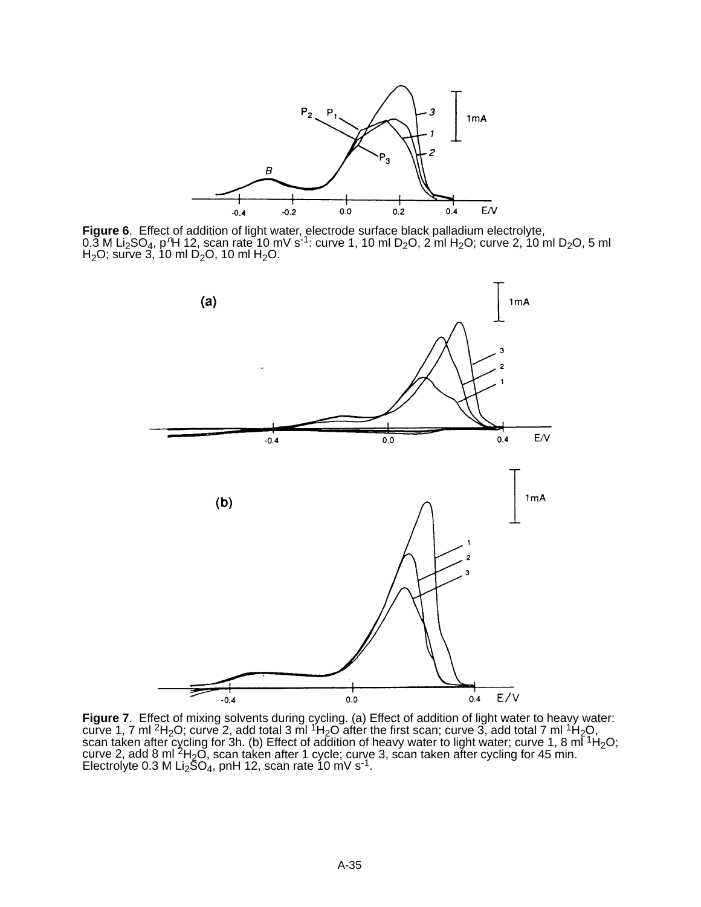

**Figure 6**. Effect of addition of light water, electrode surface black palladium electrolyte, 0.3 M Li<sub>2</sub>SO<sub>4</sub>, p<sup>n</sup>H 12, scan rate 10 mV s<sup>-1</sup>: curve 1, 10 ml D<sub>2</sub>O, 2 ml H<sub>2</sub>O; curve 2, 10 ml D<sub>2</sub>O, 5 ml  $H<sub>2</sub>O$ ; surve 3, 10 ml D<sub>2</sub>O, 10 ml H<sub>2</sub>O.



**Figure 7**. Effect of mixing solvents during cycling. (a) Effect of addition of light water to heavy water: curve 1, 7 ml <sup>2</sup>H<sub>2</sub>O; curve 2, add total 3 ml <sup>1</sup>H<sub>2</sub>O after the first scan; curve 3, add total 7 ml <sup>1</sup>H<sub>2</sub>O, scan taken after cycling for 3h. (b) Effect of addition of heavy water to light water; curve 1, 8 ml  $^{1}$ H<sub>2</sub>O; curve 2, add 8 ml  ${}^{2}H_{2}O$ , scan taken after 1 cycle; curve 3, scan taken after cycling for 45 min. Electrolyte 0.3 M Li<sub>2</sub>SO<sub>4</sub>, pnH 12, scan rate 10 mV s<sup>-1</sup>.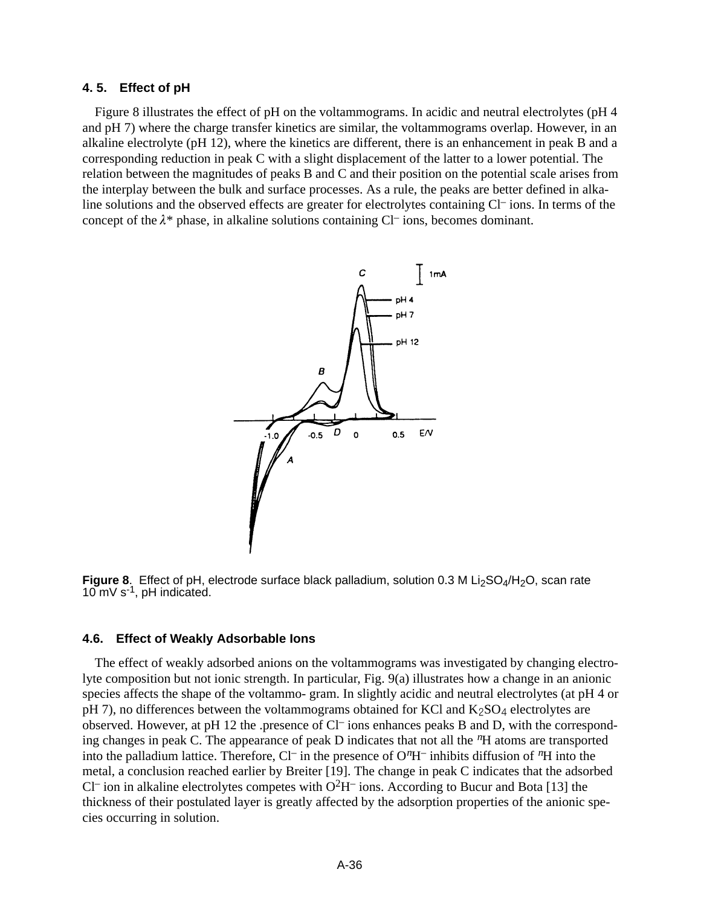#### **4. 5. Effect of pH**

Figure 8 illustrates the effect of pH on the voltammograms. In acidic and neutral electrolytes (pH 4 and pH 7) where the charge transfer kinetics are similar, the voltammograms overlap. However, in an alkaline electrolyte (pH 12), where the kinetics are different, there is an enhancement in peak B and a corresponding reduction in peak C with a slight displacement of the latter to a lower potential. The relation between the magnitudes of peaks B and C and their position on the potential scale arises from the interplay between the bulk and surface processes. As a rule, the peaks are better defined in alkaline solutions and the observed effects are greater for electrolytes containing Cl– ions. In terms of the concept of the  $\lambda^*$  phase, in alkaline solutions containing Cl– ions, becomes dominant.



**Figure 8.** Effect of pH, electrode surface black palladium, solution 0.3 M Li<sub>2</sub>SO<sub>4</sub>/H<sub>2</sub>O, scan rate 10 mV s-1, pH indicated.

#### **4.6. Effect of Weakly Adsorbable Ions**

The effect of weakly adsorbed anions on the voltammograms was investigated by changing electrolyte composition but not ionic strength. In particular, Fig. 9(a) illustrates how a change in an anionic species affects the shape of the voltammo- gram. In slightly acidic and neutral electrolytes (at pH 4 or pH 7), no differences between the voltammograms obtained for KCl and  $K_2SO_4$  electrolytes are observed. However, at pH 12 the .presence of Cl– ions enhances peaks B and D, with the corresponding changes in peak C. The appearance of peak D indicates that not all the *n*H atoms are transported into the palladium lattice. Therefore, Cl– in the presence of O*<sup>n</sup>*H– inhibits diffusion of *<sup>n</sup>*H into the metal, a conclusion reached earlier by Breiter [19]. The change in peak C indicates that the adsorbed Cl<sup>–</sup> ion in alkaline electrolytes competes with  $O^2H^-$  ions. According to Bucur and Bota [13] the thickness of their postulated layer is greatly affected by the adsorption properties of the anionic species occurring in solution.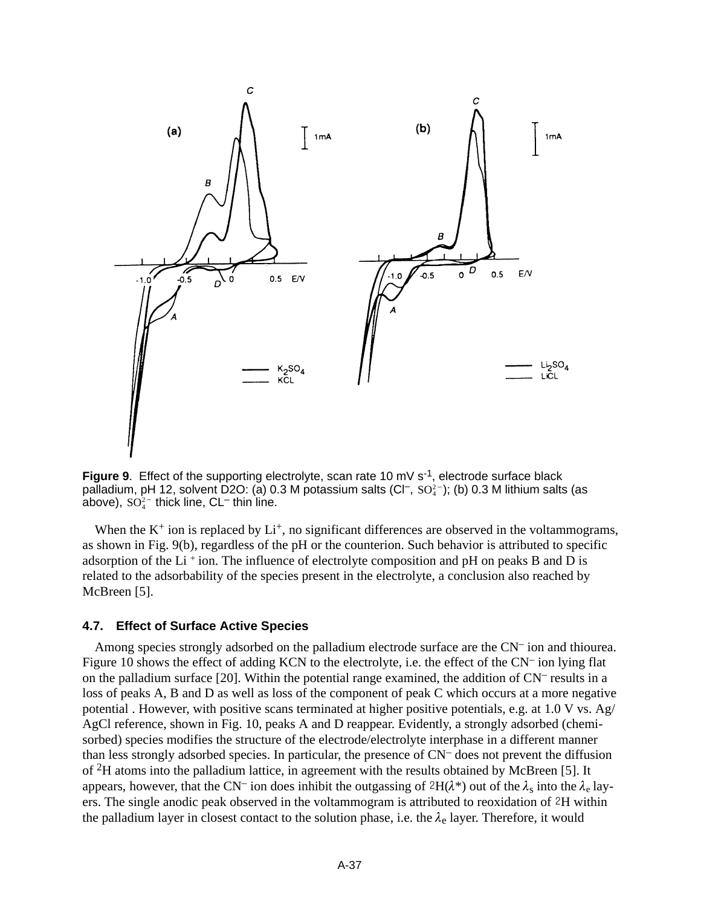

Figure 9. Effect of the supporting electrolyte, scan rate 10 mV s<sup>-1</sup>, electrode surface black palladium, pH 12, solvent D2O: (a) 0.3 M potassium salts (Cl<sup>–</sup>, SO $_4^2$ ); (b) 0.3 M lithium salts (as above),  $SO_4^{2-}$  thick line, CL<sup>–</sup> thin line.

When the  $K^+$  ion is replaced by  $Li^+$ , no significant differences are observed in the voltammograms, as shown in Fig. 9(b), regardless of the pH or the counterion. Such behavior is attributed to specific adsorption of the Li  $^+$  ion. The influence of electrolyte composition and pH on peaks B and D is related to the adsorbability of the species present in the electrolyte, a conclusion also reached by McBreen [5].

## **4.7. Effect of Surface Active Species**

Among species strongly adsorbed on the palladium electrode surface are the CN– ion and thiourea. Figure 10 shows the effect of adding KCN to the electrolyte, i.e. the effect of the CN– ion lying flat on the palladium surface [20]. Within the potential range examined, the addition of  $CN^-$  results in a loss of peaks A, B and D as well as loss of the component of peak C which occurs at a more negative potential . However, with positive scans terminated at higher positive potentials, e.g. at 1.0 V vs. Ag/ AgCl reference, shown in Fig. 10, peaks A and D reappear. Evidently, a strongly adsorbed (chemisorbed) species modifies the structure of the electrode/electrolyte interphase in a different manner than less strongly adsorbed species. In particular, the presence of CN– does not prevent the diffusion of 2H atoms into the palladium lattice, in agreement with the results obtained by McBreen [5]. It appears, however, that the CN<sup>-</sup> ion does inhibit the outgassing of  $2H(\lambda^*)$  out of the  $\lambda_s$  into the  $\lambda_e$  layers. The single anodic peak observed in the voltammogram is attributed to reoxidation of 2H within the palladium layer in closest contact to the solution phase, i.e. the  $\lambda_e$  layer. Therefore, it would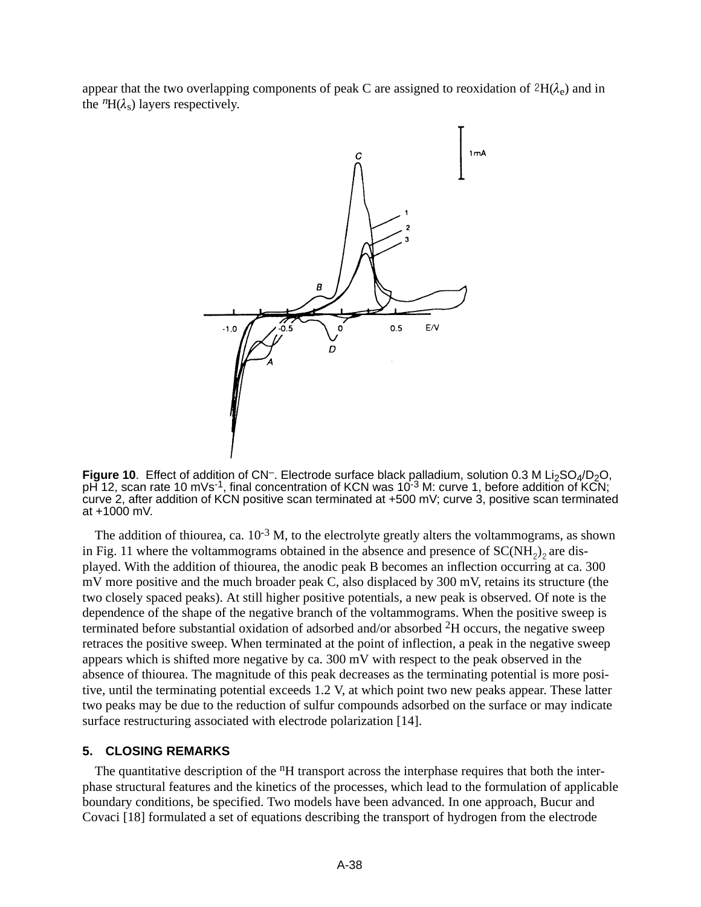appear that the two overlapping components of peak C are assigned to reoxidation of  $2H(\lambda_e)$  and in the  ${}^n\text{H}(\lambda_s)$  layers respectively.



Figure 10. Effect of addition of CN<sup>-</sup>. Electrode surface black palladium, solution 0.3 M Li<sub>2</sub>SO<sub>4</sub>/D<sub>2</sub>O, pH 12, scan rate 10 mVs<sup>-1</sup>, final concentration of KCN was 10<sup>-3</sup> M: curve 1, before addition of KCN; curve 2, after addition of KCN positive scan terminated at +500 mV; curve 3, positive scan terminated at +1000 mV.

The addition of thiourea, ca.  $10^{-3}$  M, to the electrolyte greatly alters the voltammograms, as shown in Fig. 11 where the voltammograms obtained in the absence and presence of  $SC(NH<sub>2</sub>)<sub>2</sub>$  are displayed. With the addition of thiourea, the anodic peak B becomes an inflection occurring at ca. 300 mV more positive and the much broader peak C, also displaced by 300 mV, retains its structure (the two closely spaced peaks). At still higher positive potentials, a new peak is observed. Of note is the dependence of the shape of the negative branch of the voltammograms. When the positive sweep is terminated before substantial oxidation of adsorbed and/or absorbed 2H occurs, the negative sweep retraces the positive sweep. When terminated at the point of inflection, a peak in the negative sweep appears which is shifted more negative by ca. 300 mV with respect to the peak observed in the absence of thiourea. The magnitude of this peak decreases as the terminating potential is more positive, until the terminating potential exceeds 1.2 V, at which point two new peaks appear. These latter two peaks may be due to the reduction of sulfur compounds adsorbed on the surface or may indicate surface restructuring associated with electrode polarization [14].

## **5. CLOSING REMARKS**

The quantitative description of the <sup>n</sup>H transport across the interphase requires that both the interphase structural features and the kinetics of the processes, which lead to the formulation of applicable boundary conditions, be specified. Two models have been advanced. In one approach, Bucur and Covaci [18] formulated a set of equations describing the transport of hydrogen from the electrode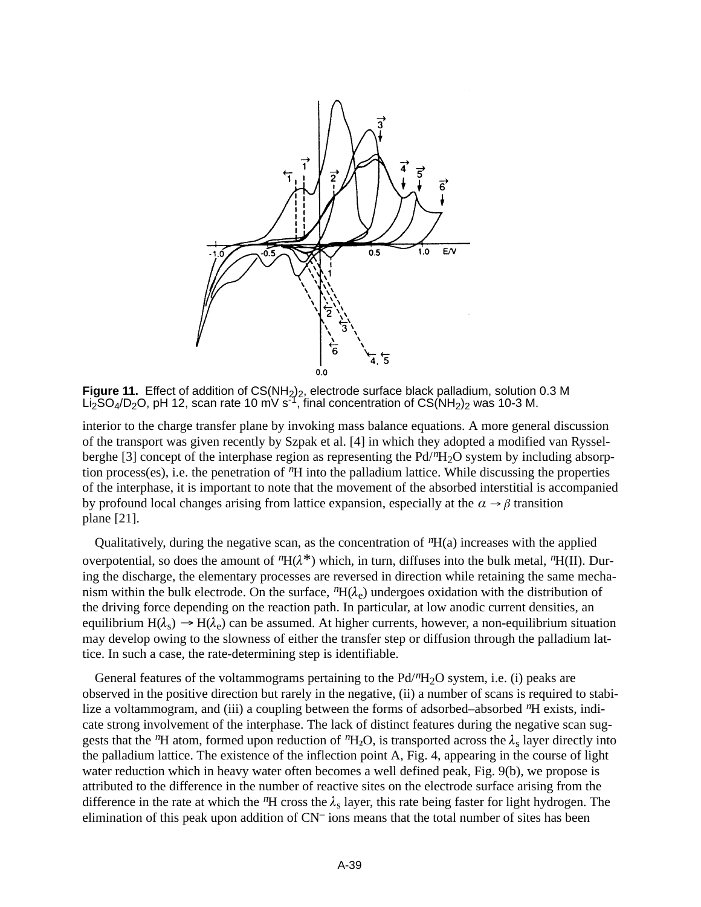

**Figure 11.** Effect of addition of CS(NH<sub>2</sub>)<sub>2</sub>, electrode surface black palladium, solution 0.3 M Li $_{2}^{\bullet}$ SO<sub>4</sub>/D<sub>2</sub>O, pH 12, scan rate 10 mV s<sup>-1</sup>, final concentration of CS(NH<sub>2</sub>)<sub>2</sub> was 10-3 M.

interior to the charge transfer plane by invoking mass balance equations. A more general discussion of the transport was given recently by Szpak et al. [4] in which they adopted a modified van Rysselberghe [3] concept of the interphase region as representing the Pd/*<sup>n</sup>*H2O system by including absorption process(es), i.e. the penetration of *n*H into the palladium lattice. While discussing the properties of the interphase, it is important to note that the movement of the absorbed interstitial is accompanied by profound local changes arising from lattice expansion, especially at the  $\alpha \rightarrow \beta$  transition plane [21].

Qualitatively, during the negative scan, as the concentration of *n*H(a) increases with the applied overpotential, so does the amount of  ${}^nH(\lambda^*)$  which, in turn, diffuses into the bulk metal,  ${}^nH(\Pi)$ . During the discharge, the elementary processes are reversed in direction while retaining the same mechanism within the bulk electrode. On the surface,  ${}^nH(\lambda_e)$  undergoes oxidation with the distribution of the driving force depending on the reaction path. In particular, at low anodic current densities, an equilibrium  $H(\lambda_s) \to H(\lambda_e)$  can be assumed. At higher currents, however, a non-equilibrium situation may develop owing to the slowness of either the transfer step or diffusion through the palladium lattice. In such a case, the rate-determining step is identifiable.

General features of the voltammograms pertaining to the Pd/<sup>*n*</sup>H<sub>2</sub>O system, i.e. (i) peaks are observed in the positive direction but rarely in the negative, (ii) a number of scans is required to stabilize a voltammogram, and (iii) a coupling between the forms of adsorbed–absorbed <sup>*n*</sup>H exists, indicate strong involvement of the interphase. The lack of distinct features during the negative scan suggests that the <sup>*n*</sup>H atom, formed upon reduction of *n*H<sub>2</sub>O, is transported across the  $\lambda_s$  layer directly into the palladium lattice. The existence of the inflection point A, Fig. 4, appearing in the course of light water reduction which in heavy water often becomes a well defined peak, Fig. 9(b), we propose is attributed to the difference in the number of reactive sites on the electrode surface arising from the difference in the rate at which the  ${}^n$ H cross the  $\lambda_s$  layer, this rate being faster for light hydrogen. The elimination of this peak upon addition of CN– ions means that the total number of sites has been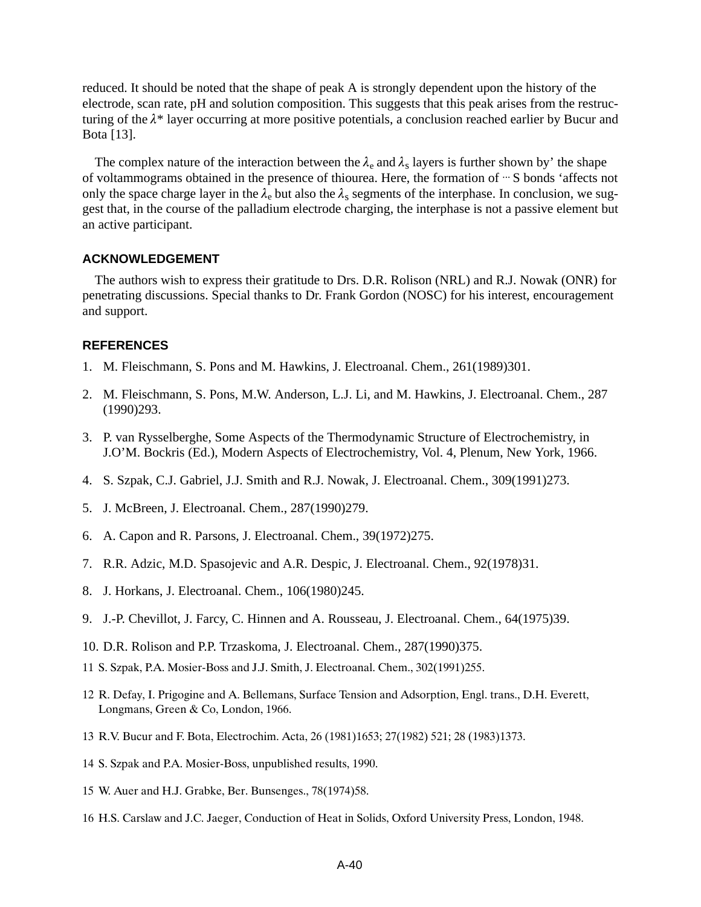reduced. It should be noted that the shape of peak A is strongly dependent upon the history of the electrode, scan rate, pH and solution composition. This suggests that this peak arises from the restructuring of the  $\lambda^*$  layer occurring at more positive potentials, a conclusion reached earlier by Bucur and Bota [13].

The complex nature of the interaction between the  $\lambda_e$  and  $\lambda_s$  layers is further shown by' the shape of voltammograms obtained in the presence of thiourea. Here, the formation of  $\cdot\cdot$  S bonds 'affects not only the space charge layer in the  $\lambda_e$  but also the  $\lambda_s$  segments of the interphase. In conclusion, we suggest that, in the course of the palladium electrode charging, the interphase is not a passive element but an active participant.

## **ACKNOWLEDGEMENT**

The authors wish to express their gratitude to Drs. D.R. Rolison (NRL) and R.J. Nowak (ONR) for penetrating discussions. Special thanks to Dr. Frank Gordon (NOSC) for his interest, encouragement and support.

## **REFERENCES**

- 1. M. Fleischmann, S. Pons and M. Hawkins, J. Electroanal. Chem., 261(1989)301.
- 2. M. Fleischmann, S. Pons, M.W. Anderson, L.J. Li, and M. Hawkins, J. Electroanal. Chem., 287 (1990)293.
- 3. P. van Rysselberghe, Some Aspects of the Thermodynamic Structure of Electrochemistry, in J.O'M. Bockris (Ed.), Modern Aspects of Electrochemistry, Vol. 4, Plenum, New York, 1966.
- 4. S. Szpak, C.J. Gabriel, J.J. Smith and R.J. Nowak, J. Electroanal. Chem., 309(1991)273.
- 5. J. McBreen, J. Electroanal. Chem., 287(1990)279.
- 6. A. Capon and R. Parsons, J. Electroanal. Chem., 39(1972)275.
- 7. R.R. Adzic, M.D. Spasojevic and A.R. Despic, J. Electroanal. Chem., 92(1978)31.
- 8. J. Horkans, J. Electroanal. Chem., 106(1980)245.
- 9. J.-P. Chevillot, J. Farcy, C. Hinnen and A. Rousseau, J. Electroanal. Chem., 64(1975)39.
- 10. D.R. Rolison and P.P. Trzaskoma, J. Electroanal. Chem., 287(1990)375.
- 11 S. Szpak, P.A. Mosier-Boss and J.J. Smith, J. Electroanal. Chem., 302(1991)255.
- 12 R. Defay, I. Prigogine and A. Bellemans, Surface Tension and Adsorption, Engl. trans., D.H. Everett, Longmans, Green & Co, London, 1966.
- 13 R.V. Bucur and F. Bota, Electrochim. Acta, 26 (1981)1653; 27(1982) 521; 28 (1983)1373.
- 14 S. Szpak and P.A. Mosier-Boss, unpublished results, 1990.
- 15 W. Auer and H.J. Grabke, Ber. Bunsenges., 78(1974)58.
- 16 H.S. Carslaw and J.C. Jaeger, Conduction of Heat in Solids, Oxford University Press, London, 1948.